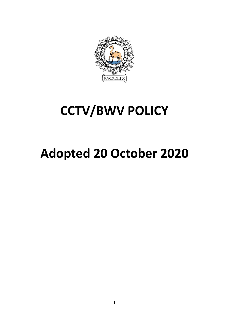

## **CCTV/BWV POLICY**

# **Adopted 20 October 2020**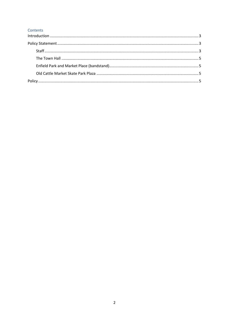#### Contents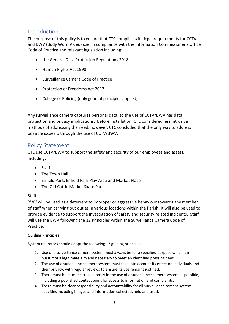## <span id="page-2-0"></span>Introduction

The purpose of this policy is to ensure that CTC complies with legal requirements for CCTV and BWV (Body Worn Video) use, in compliance with the Information Commissioner's Office Code of Practice and relevant legislation including:

- the General Data Protection Regulations 2018
- Human Rights Act 1998
- Surveillance Camera Code of Practice
- Protection of Freedoms Act 2012
- College of Policing (only general principles applied)

Any surveillance camera captures personal data, so the use of CCTV/BWV has data protection and privacy implications. Before installation, CTC considered less intrusive methods of addressing the need, however, CTC concluded that the only way to address possible issues is through the use of CCTV/BWV.

## <span id="page-2-1"></span>Policy Statement

CTC use CCTV/BWV to support the safety and security of our employees and assets, including:

- Staff
- The Town Hall
- Enfield Park, Enfield Park Play Area and Market Place
- The Old Cattle Market Skate Park

#### <span id="page-2-2"></span>**Staff**

BWV will be used as a deterrent to improper or aggressive behaviour towards any member of staff when carrying out duties in various locations within the Parish. It will also be used to provide evidence to support the investigation of safety and security related incidents. Staff will use the BWV following the 12 Principles within the Surveillance Camera Code of Practice:

#### **Guiding Principles**

System operators should adopt the following 12 guiding principles:

- 1. Use of a surveillance camera system must always be for a specified purpose which is in pursuit of a legitimate aim and necessary to meet an identified pressing need.
- 2. The use of a surveillance camera system must take into account its effect on individuals and their privacy, with regular reviews to ensure its use remains justified.
- 3. There must be as much transparency in the use of a surveillance camera system as possible, including a published contact point for access to information and complaints.
- 4. There must be clear responsibility and accountability for all surveillance camera system activities including images and information collected, held and used.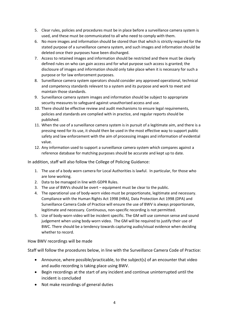- 5. Clear rules, policies and procedures must be in place before a surveillance camera system is used, and these must be communicated to all who need to comply with them.
- 6. No more images and information should be stored than that which is strictly required for the stated purpose of a surveillance camera system, and such images and information should be deleted once their purposes have been discharged.
- 7. Access to retained images and information should be restricted and there must be clearly defined rules on who can gain access and for what purpose such access is granted; the disclosure of images and information should only take place when it is necessary for such a purpose or for law enforcement purposes.
- 8. Surveillance camera system operators should consider any approved operational, technical and competency standards relevant to a system and its purpose and work to meet and maintain those standards.
- 9. Surveillance camera system images and information should be subject to appropriate security measures to safeguard against unauthorised access and use.
- 10. There should be effective review and audit mechanisms to ensure legal requirements, policies and standards are complied with in practice, and regular reports should be published.
- 11. When the use of a surveillance camera system is in pursuit of a legitimate aim, and there is a pressing need for its use, it should then be used in the most effective way to support public safety and law enforcement with the aim of processing images and information of evidential value.
- 12. Any information used to support a surveillance camera system which compares against a reference database for matching purposes should be accurate and kept up to date.

In addition, staff will also follow the College of Policing Guidance:

- 1. The use of a body worn camera for Local Authorities is lawful. In particular, for those who are lone working.
- 2. Data to be managed in line with GDPR Rules.
- 3. The use of BWVs should be overt equipment must be clear to the public.
- 4. The operational use of body-worn video must be proportionate, legitimate and necessary. Compliance with the Human Rights Act 1998 (HRA), Data Protection Act 1998 (DPA) and Surveillance Camera Code of Practice will ensure the use of BWV is always proportionate, legitimate and necessary. Continuous, non-specific recording is not permitted.
- 5. Use of body-worn video will be incident specific. The GM will use common sense and sound judgement when using body-worn video. The GM will be required to justify their use of BWC. There should be a tendency towards capturing audio/visual evidence when deciding whether to record.

How BWV recordings will be made

Staff will follow the procedures below, in line with the Surveillance Camera Code of Practice:

- Announce, where possible/practicable, to the subject(s) of an encounter that video and audio recording is taking place using BWV.
- Begin recordings at the start of any incident and continue uninterrupted until the incident is concluded
- Not make recordings of general duties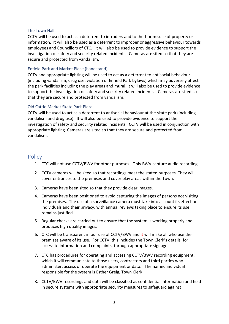#### <span id="page-4-0"></span>The Town Hall

CCTV will be used to act as a deterrent to intruders and to theft or misuse of property or information. It will also be used as a deterrent to improper or aggressive behaviour towards employees and Councillors of CTC. It will also be used to provide evidence to support the investigation of safety and security related incidents. Cameras are sited so that they are secure and protected from vandalism.

#### <span id="page-4-1"></span>Enfield Park and Market Place (bandstand)

CCTV and appropriate lighting will be used to act as a deterrent to antisocial behaviour (including vandalism, drug use, violation of Enfield Park bylaws) which may adversely affect the park facilities including the play areas and mural. It will also be used to provide evidence to support the investigation of safety and security related incidents . Cameras are sited so that they are secure and protected from vandalism.

#### <span id="page-4-2"></span>Old Cattle Market Skate Park Plaza

CCTV will be used to act as a deterrent to antisocial behaviour at the skate park (including vandalism and drug use). It will also be used to provide evidence to support the investigation of safety and security related incidents. CCTV will be used in conjunction with appropriate lighting. Cameras are sited so that they are secure and protected from vandalism.

### <span id="page-4-3"></span>**Policy**

- 1. CTC will not use CCTV/BWV for other purposes. Only BWV capture audio recording.
- 2. CCTV cameras will be sited so that recordings meet the stated purposes. They will cover entrances to the premises and cover play areas within the Town.
- 3. Cameras have been sited so that they provide clear images.
- 4. Cameras have been positioned to avoid capturing the images of persons not visiting the premises. The use of a surveillance camera must take into account its effect on individuals and their privacy, with annual reviews taking place to ensure its use remains justified.
- 5. Regular checks are carried out to ensure that the system is working properly and produces high quality images.
- 6. CTC will be transparent in our use of CCTV/BWV and it will make all who use the premises aware of its use. For CCTV, this includes the Town Clerk's details, for access to information and complaints, through appropriate signage.
- 7. CTC has procedures for operating and accessing CCTV/BWV recording equipment, which it will communicate to those users, contractors and third parties who administer, access or operate the equipment or data. The named individual responsible for the system is Esther Greig, Town Clerk.
- 8. CCTV/BWV recordings and data will be classified as confidential information and held in secure systems with appropriate security measures to safeguard against